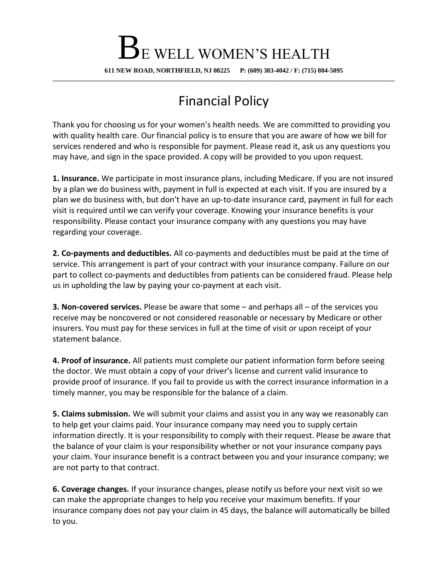## BE WELL WOMEN'S HEALTH

**611 NEW ROAD, NORTHFIELD, NJ 08225 P: (609) 383-4042 / F: (715) 804-5095 \_\_\_\_\_\_\_\_\_\_\_\_\_\_\_\_\_\_\_\_\_\_\_\_\_\_\_\_\_\_\_\_\_\_\_\_\_\_\_\_\_\_\_\_\_\_\_\_\_\_\_\_\_\_\_\_\_\_\_\_\_\_\_\_\_\_\_\_\_\_\_\_\_\_\_\_\_\_\_\_\_\_\_\_\_\_\_\_\_\_\_\_\_\_\_\_\_\_\_\_\_\_\_\_**

## Financial Policy

Thank you for choosing us for your women's health needs. We are committed to providing you with quality health care. Our financial policy is to ensure that you are aware of how we bill for services rendered and who is responsible for payment. Please read it, ask us any questions you may have, and sign in the space provided. A copy will be provided to you upon request.

**1. Insurance.** We participate in most insurance plans, including Medicare. If you are not insured by a plan we do business with, payment in full is expected at each visit. If you are insured by a plan we do business with, but don't have an up-to-date insurance card, payment in full for each visit is required until we can verify your coverage. Knowing your insurance benefits is your responsibility. Please contact your insurance company with any questions you may have regarding your coverage.

**2. Co-payments and deductibles.** All co-payments and deductibles must be paid at the time of service. This arrangement is part of your contract with your insurance company. Failure on our part to collect co-payments and deductibles from patients can be considered fraud. Please help us in upholding the law by paying your co-payment at each visit.

**3. Non-covered services.** Please be aware that some – and perhaps all – of the services you receive may be noncovered or not considered reasonable or necessary by Medicare or other insurers. You must pay for these services in full at the time of visit or upon receipt of your statement balance.

**4. Proof of insurance.** All patients must complete our patient information form before seeing the doctor. We must obtain a copy of your driver's license and current valid insurance to provide proof of insurance. If you fail to provide us with the correct insurance information in a timely manner, you may be responsible for the balance of a claim.

**5. Claims submission.** We will submit your claims and assist you in any way we reasonably can to help get your claims paid. Your insurance company may need you to supply certain information directly. It is your responsibility to comply with their request. Please be aware that the balance of your claim is your responsibility whether or not your insurance company pays your claim. Your insurance benefit is a contract between you and your insurance company; we are not party to that contract.

**6. Coverage changes.** If your insurance changes, please notify us before your next visit so we can make the appropriate changes to help you receive your maximum benefits. If your insurance company does not pay your claim in 45 days, the balance will automatically be billed to you.